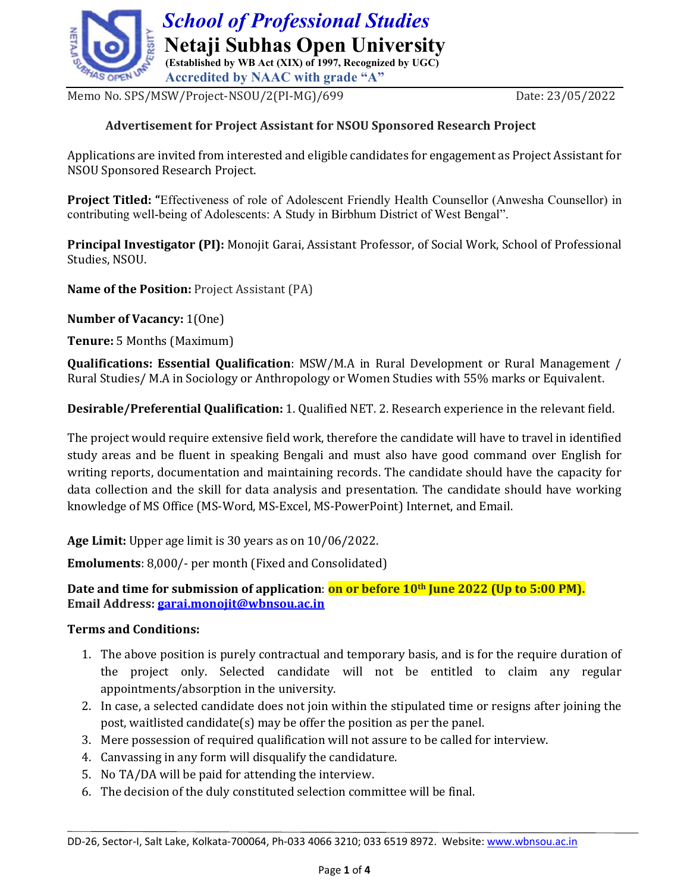

Memo No. SPS/MSW/Project-NSOU/2(PI-MG)/699 Date: 23/05/2022

### Advertisement for Project Assistant for NSOU Sponsored Research Project

Applications are invited from interested and eligible candidates for engagement as Project Assistant for NSOU Sponsored Research Project.

Project Titled: "Effectiveness of role of Adolescent Friendly Health Counsellor (Anwesha Counsellor) in contributing well-being of Adolescents: A Study in Birbhum District of West Bengal".

Principal Investigator (PI): Monojit Garai, Assistant Professor, of Social Work, School of Professional Studies, NSOU.

Name of the Position: Project Assistant (PA)

Number of Vacancy: 1(One)

Tenure: 5 Months (Maximum)

Qualifications: Essential Qualification: MSW/M.A in Rural Development or Rural Management / Rural Studies/ M.A in Sociology or Anthropology or Women Studies with 55% marks or Equivalent.

Desirable/Preferential Qualification: 1. Qualified NET. 2. Research experience in the relevant field.

The project would require extensive field work, therefore the candidate will have to travel in identified study areas and be fluent in speaking Bengali and must also have good command over English for writing reports, documentation and maintaining records. The candidate should have the capacity for data collection and the skill for data analysis and presentation. The candidate should have working knowledge of MS Office (MS-Word, MS-Excel, MS-PowerPoint) Internet, and Email.

Age Limit: Upper age limit is 30 years as on 10/06/2022.

Emoluments: 8,000/- per month (Fixed and Consolidated)

Date and time for submission of application: on or before 10<sup>th</sup> June 2022 (Up to 5:00 PM). Email Address: garai.monojit@wbnsou.ac.in

### Terms and Conditions:

- 1. The above position is purely contractual and temporary basis, and is for the require duration of the project only. Selected candidate will not be entitled to claim any regular appointments/absorption in the university.
- 2. In case, a selected candidate does not join within the stipulated time or resigns after joining the post, waitlisted candidate(s) may be offer the position as per the panel.
- 3. Mere possession of required qualification will not assure to be called for interview.
- 4. Canvassing in any form will disqualify the candidature.
- 5. No TA/DA will be paid for attending the interview.
- 6. The decision of the duly constituted selection committee will be final.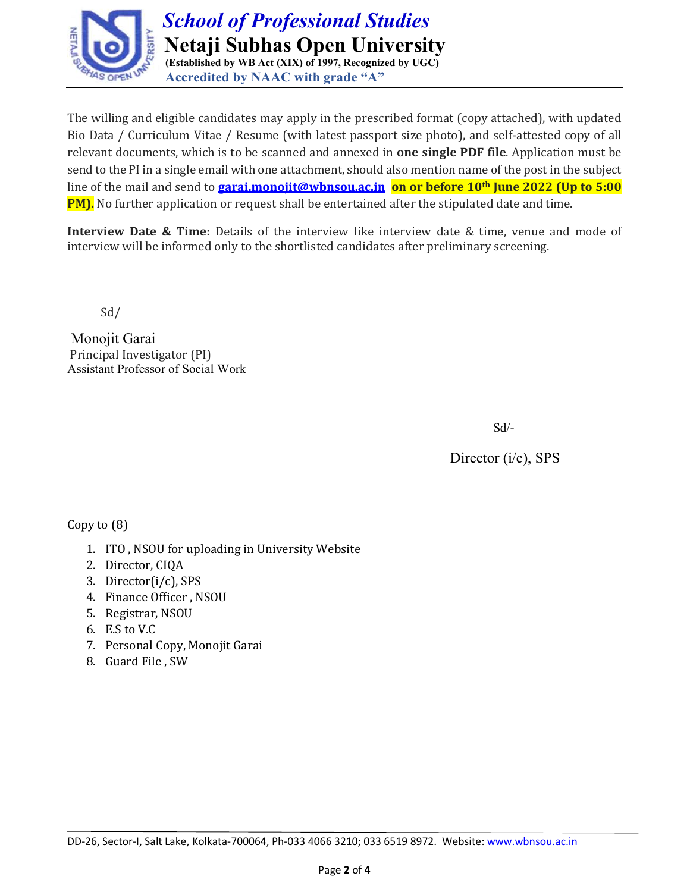

The willing and eligible candidates may apply in the prescribed format (copy attached), with updated Bio Data / Curriculum Vitae / Resume (with latest passport size photo), and self-attested copy of all relevant documents, which is to be scanned and annexed in one single PDF file. Application must be send to the PI in a single email with one attachment, should also mention name of the post in the subject line of the mail and send to **garai.monojit@wbnsou.ac.in on or before 10<sup>th</sup> June 2022 (Up to 5:00 PM).** No further application or request shall be entertained after the stipulated date and time.

Interview Date & Time: Details of the interview like interview date & time, venue and mode of interview will be informed only to the shortlisted candidates after preliminary screening.

Sd/

 Monojit Garai Principal Investigator (PI) Assistant Professor of Social Work

Sd/-

Director (i/c), SPS

Copy to (8)

- 1. ITO , NSOU for uploading in University Website
- 2. Director, CIQA
- 3. Director(i/c), SPS
- 4. Finance Officer , NSOU
- 5. Registrar, NSOU
- 6. E.S to V.C
- 7. Personal Copy, Monojit Garai
- 8. Guard File , SW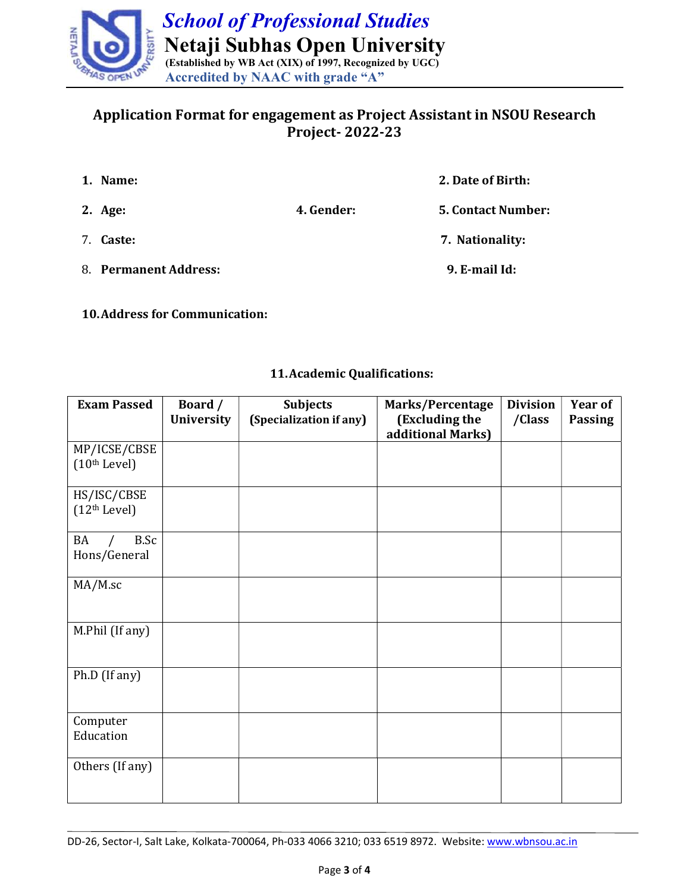

# Application Format for engagement as Project Assistant in NSOU Research Project- 2022-23

| 1. Name:              |            | 2. Date of Birth:         |
|-----------------------|------------|---------------------------|
| 2. Age:               | 4. Gender: | <b>5. Contact Number:</b> |
| 7. Caste:             |            | 7. Nationality:           |
| 8. Permanent Address: |            | 9. E-mail Id:             |

10.Address for Communication:

### 11.Academic Qualifications:

| <b>Exam Passed</b>                       | Board /<br>University | <b>Subjects</b><br>(Specialization if any) | Marks/Percentage<br>(Excluding the<br>additional Marks) | <b>Division</b><br>/Class | <b>Year of</b><br><b>Passing</b> |  |
|------------------------------------------|-----------------------|--------------------------------------------|---------------------------------------------------------|---------------------------|----------------------------------|--|
| MP/ICSE/CBSE<br>(10 <sup>th</sup> Level) |                       |                                            |                                                         |                           |                                  |  |
| HS/ISC/CBSE<br>(12 <sup>th</sup> Level)  |                       |                                            |                                                         |                           |                                  |  |
| B.Sc<br>BA<br>Hons/General               |                       |                                            |                                                         |                           |                                  |  |
| MA/M.sc                                  |                       |                                            |                                                         |                           |                                  |  |
| M.Phil (If any)                          |                       |                                            |                                                         |                           |                                  |  |
| Ph.D (If any)                            |                       |                                            |                                                         |                           |                                  |  |
| Computer<br>Education                    |                       |                                            |                                                         |                           |                                  |  |
| Others (If any)                          |                       |                                            |                                                         |                           |                                  |  |